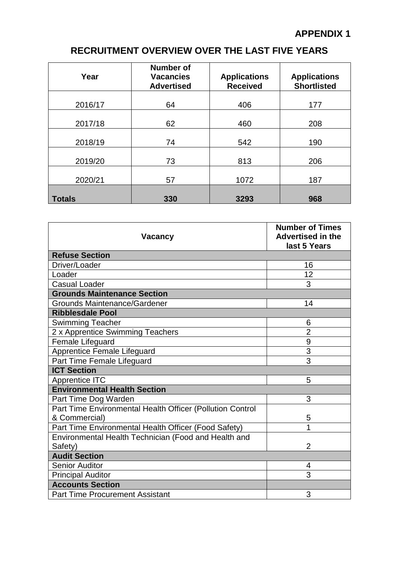# **RECRUITMENT OVERVIEW OVER THE LAST FIVE YEARS**

| Year          | <b>Number of</b><br><b>Vacancies</b><br><b>Advertised</b> | <b>Applications</b><br><b>Received</b> | <b>Applications</b><br><b>Shortlisted</b> |
|---------------|-----------------------------------------------------------|----------------------------------------|-------------------------------------------|
| 2016/17       | 64                                                        | 406                                    | 177                                       |
| 2017/18       | 62                                                        | 460                                    | 208                                       |
| 2018/19       | 74                                                        | 542                                    | 190                                       |
| 2019/20       | 73                                                        | 813                                    | 206                                       |
| 2020/21       | 57                                                        | 1072                                   | 187                                       |
| <b>Totals</b> | 330                                                       | 3293                                   | 968                                       |

| <b>Vacancy</b>                                                             | <b>Number of Times</b><br><b>Advertised in the</b><br>last 5 Years |  |  |
|----------------------------------------------------------------------------|--------------------------------------------------------------------|--|--|
| <b>Refuse Section</b>                                                      |                                                                    |  |  |
| Driver/Loader                                                              | 16                                                                 |  |  |
| Loader                                                                     | 12                                                                 |  |  |
| <b>Casual Loader</b>                                                       | 3                                                                  |  |  |
| <b>Grounds Maintenance Section</b>                                         |                                                                    |  |  |
| <b>Grounds Maintenance/Gardener</b>                                        | 14                                                                 |  |  |
| <b>Ribblesdale Pool</b>                                                    |                                                                    |  |  |
| <b>Swimming Teacher</b>                                                    | 6                                                                  |  |  |
| 2 x Apprentice Swimming Teachers                                           | $\overline{2}$                                                     |  |  |
| Female Lifeguard                                                           | $\overline{9}$                                                     |  |  |
| Apprentice Female Lifeguard                                                | $\overline{3}$                                                     |  |  |
| Part Time Female Lifeguard                                                 | 3                                                                  |  |  |
| <b>ICT Section</b>                                                         |                                                                    |  |  |
| <b>Apprentice ITC</b>                                                      | 5                                                                  |  |  |
| <b>Environmental Health Section</b>                                        |                                                                    |  |  |
| Part Time Dog Warden                                                       | 3                                                                  |  |  |
| Part Time Environmental Health Officer (Pollution Control<br>& Commercial) | 5                                                                  |  |  |
| Part Time Environmental Health Officer (Food Safety)                       | 1                                                                  |  |  |
| Environmental Health Technician (Food and Health and<br>Safety)            | $\overline{2}$                                                     |  |  |
| <b>Audit Section</b>                                                       |                                                                    |  |  |
| <b>Senior Auditor</b>                                                      | 4                                                                  |  |  |
| <b>Principal Auditor</b>                                                   | 3                                                                  |  |  |
| <b>Accounts Section</b>                                                    |                                                                    |  |  |
| <b>Part Time Procurement Assistant</b>                                     | 3                                                                  |  |  |